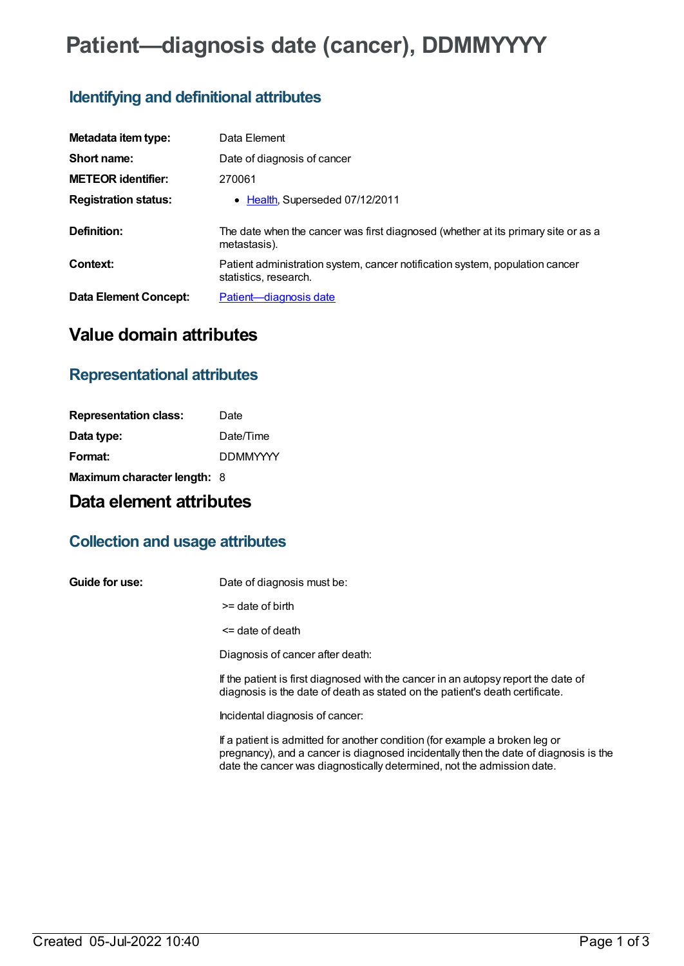# **Patient—diagnosis date (cancer), DDMMYYYY**

### **Identifying and definitional attributes**

| Metadata item type:         | Data Element                                                                                          |
|-----------------------------|-------------------------------------------------------------------------------------------------------|
| Short name:                 | Date of diagnosis of cancer                                                                           |
| <b>METEOR identifier:</b>   | 270061                                                                                                |
| <b>Registration status:</b> | • Health, Superseded 07/12/2011                                                                       |
| Definition:                 | The date when the cancer was first diagnosed (whether at its primary site or as a<br>metastasis).     |
| Context:                    | Patient administration system, cancer notification system, population cancer<br>statistics, research. |
| Data Element Concept:       | Patient-diagnosis date                                                                                |

### **Value domain attributes**

### **Representational attributes**

| Date                        |
|-----------------------------|
| Date/Time                   |
| <b>DDMMYYYY</b>             |
| Maximum character length: 8 |
|                             |

## **Data element attributes**

### **Collection and usage attributes**

**Guide for use:** Date of diagnosis must be:

>= date of birth

<= date of death

Diagnosis of cancer after death:

If the patient is first diagnosed with the cancer in an autopsy report the date of diagnosis is the date of death as stated on the patient's death certificate.

Incidental diagnosis of cancer:

If a patient is admitted for another condition (for example a broken leg or pregnancy), and a cancer is diagnosed incidentally then the date of diagnosis is the date the cancer was diagnostically determined, not the admission date.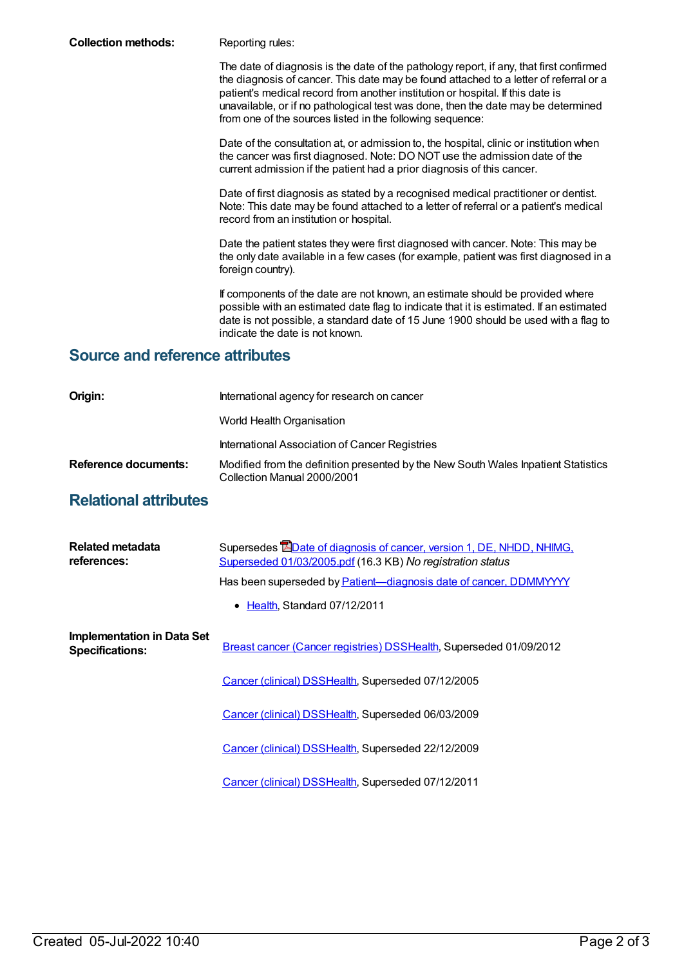**Collection methods:** Reporting rules:

The date of diagnosis is the date of the pathology report, if any, that first confirmed the diagnosis of cancer. This date may be found attached to a letter of referral or a patient's medical record from another institution or hospital. If this date is unavailable, or if no pathological test was done, then the date may be determined from one of the sources listed in the following sequence:

Date of the consultation at, or admission to, the hospital, clinic or institution when the cancer was first diagnosed. Note: DO NOT use the admission date of the current admission if the patient had a prior diagnosis of this cancer.

Date of first diagnosis as stated by a recognised medical practitioner or dentist. Note: This date may be found attached to a letter of referral or a patient's medical record from an institution or hospital.

Date the patient states they were first diagnosed with cancer. Note: This may be the only date available in a few cases (for example, patient was first diagnosed in a foreign country).

If components of the date are not known, an estimate should be provided where possible with an estimated date flag to indicate that it is estimated. If an estimated date is not possible, a standard date of 15 June 1900 should be used with a flag to indicate the date is not known.

#### **Source and reference attributes**

| Origin:                     | International agency for research on cancer                                                                       |
|-----------------------------|-------------------------------------------------------------------------------------------------------------------|
|                             | World Health Organisation                                                                                         |
|                             | International Association of Cancer Registries                                                                    |
| <b>Reference documents:</b> | Modified from the definition presented by the New South Wales Inpatient Statistics<br>Collection Manual 2000/2001 |

### **Relational attributes**

| Related metadata<br>references:                             | Supersedes <b>EDate of diagnosis of cancer, version 1, DE, NHDD, NHIMG,</b><br>Superseded 01/03/2005.pdf (16.3 KB) No registration status |
|-------------------------------------------------------------|-------------------------------------------------------------------------------------------------------------------------------------------|
|                                                             | Has been superseded by Patient-diagnosis date of cancer, DDMMYYYY                                                                         |
|                                                             | • Health, Standard 07/12/2011                                                                                                             |
| <b>Implementation in Data Set</b><br><b>Specifications:</b> | Breast cancer (Cancer registries) DSSHealth, Superseded 01/09/2012                                                                        |
|                                                             | Cancer (clinical) DSSHealth, Superseded 07/12/2005                                                                                        |
|                                                             | Cancer (clinical) DSSHealth, Superseded 06/03/2009                                                                                        |
|                                                             | Cancer (clinical) DSSHealth, Superseded 22/12/2009                                                                                        |
|                                                             | Cancer (clinical) DSSHealth, Superseded 07/12/2011                                                                                        |